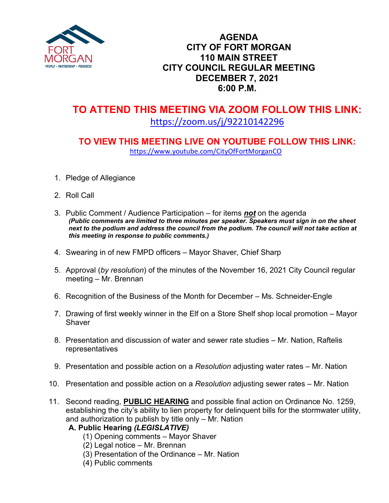

### **AGENDA CITY OF FORT MORGAN 110 MAIN STREET CITY COUNCIL REGULAR MEETING DECEMBER 7, 2021 6:00 P.M.**

# **TO ATTEND THIS MEETING VIA ZOOM FOLLOW THIS LINK:** <https://zoom.us/j/92210142296>

## **TO VIEW THIS MEETING LIVE ON YOUTUBE FOLLOW THIS LINK:** <https://www.youtube.com/CityOfFortMorganCO>

- 1. Pledge of Allegiance
- 2. Roll Call
- 3. Public Comment / Audience Participation for items *not* on the agenda *(Public comments are limited to three minutes per speaker. Speakers must sign in on the sheet*  next to the podium and address the council from the podium. The council will not take action at *this meeting in response to public comments.)*
- 4. Swearing in of new FMPD officers Mayor Shaver, Chief Sharp
- 5. Approval (*by resolution*) of the minutes of the November 16, 2021 City Council regular meeting – Mr. Brennan
- 6. Recognition of the Business of the Month for December Ms. Schneider-Engle
- 7. Drawing of first weekly winner in the Elf on a Store Shelf shop local promotion Mayor **Shaver**
- 8. Presentation and discussion of water and sewer rate studies Mr. Nation, Raftelis representatives
- 9. Presentation and possible action on a *Resolution* adjusting water rates Mr. Nation
- 10. Presentation and possible action on a *Resolution* adjusting sewer rates Mr. Nation
- 11. Second reading, **PUBLIC HEARING** and possible final action on Ordinance No. 1259, establishing the city's ability to lien property for delinquent bills for the stormwater utility, and authorization to publish by title only – Mr. Nation

#### **A. Public Hearing** *(LEGISLATIVE)*

- (1) Opening comments Mayor Shaver
- (2) Legal notice Mr. Brennan
- (3) Presentation of the Ordinance Mr. Nation
- (4) Public comments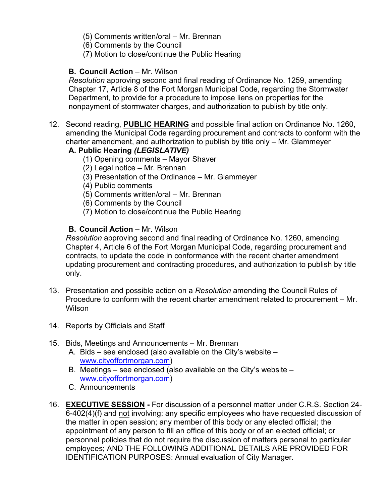(5) Comments written/oral – Mr. Brennan

(6) Comments by the Council

(7) Motion to close/continue the Public Hearing

#### **B.** Council Action – Mr. Wilson

*Resolution* approving second and final reading of Ordinance No. 1259, amending Chapter 17, Article 8 of the Fort Morgan Municipal Code, regarding the Stormwater Department, to provide for a procedure to impose liens on properties for the nonpayment of stormwater charges, and authorization to publish by title only.

12. Second reading, **PUBLIC HEARING** and possible final action on Ordinance No. 1260, amending the Municipal Code regarding procurement and contracts to conform with the charter amendment, and authorization to publish by title only – Mr. Glammeyer

#### **A. Public Hearing** *(LEGISLATIVE)*

- (1) Opening comments Mayor Shaver
- (2) Legal notice Mr. Brennan
- (3) Presentation of the Ordinance Mr. Glammeyer
- (4) Public comments
- (5) Comments written/oral Mr. Brennan
- (6) Comments by the Council
- (7) Motion to close/continue the Public Hearing

#### **B. Council Action – Mr. Wilson**

*Resolution* approving second and final reading of Ordinance No. 1260, amending Chapter 4, Article 6 of the Fort Morgan Municipal Code, regarding procurement and contracts, to update the code in conformance with the recent charter amendment updating procurement and contracting procedures, and authorization to publish by title only.

- 13. Presentation and possible action on a *Resolution* amending the Council Rules of Procedure to conform with the recent charter amendment related to procurement – Mr. Wilson
- 14. Reports by Officials and Staff

#### 15. Bids, Meetings and Announcements – Mr. Brennan

- A. Bids see enclosed (also available on the City's website [www.cityoffortmorgan.com\)](http://www.cityoffortmorgan.com/)
- B. Meetings see enclosed (also available on the City's website [www.cityoffortmorgan.com\)](http://www.cityoffortmorgan.com/)
- C. Announcements
- 16. **EXECUTIVE SESSION -** For discussion of a personnel matter under C.R.S. Section 24- 6-402(4)(f) and not involving: any specific employees who have requested discussion of the matter in open session; any member of this body or any elected official; the appointment of any person to fill an office of this body or of an elected official; or personnel policies that do not require the discussion of matters personal to particular employees; AND THE FOLLOWING ADDITIONAL DETAILS ARE PROVIDED FOR IDENTIFICATION PURPOSES: Annual evaluation of City Manager.